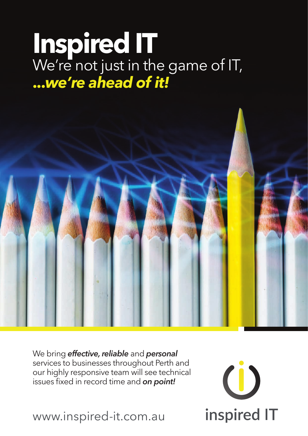## **Inspired IT** We're not just in the game of IT, **...***we're ahead of it!*



 $\begin{pmatrix} 1 \end{pmatrix}$ 

inspired IT

We bring *effective, reliable* and *personal* services to businesses throughout Perth and our highly responsive team will see technical issues fixed in record time and *on point!*

www.inspired-it.com.au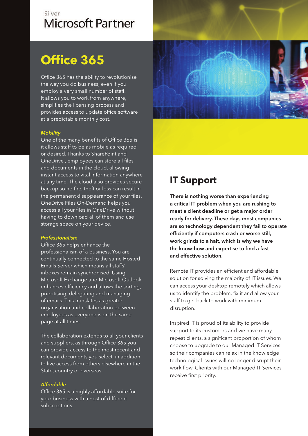### Silver **Microsoft Partner**

## **Office 365**

Office 365 has the ability to revolutionise the way you do business, even if you employ a very small number of staff. It allows you to work from anywhere, simplifies the licensing process and provides access to update office software at a predictable monthly cost.

#### *Mobility*

One of the many benefits of Office 365 is it allows staff to be as mobile as required or desired. Thanks to SharePoint and OneDrive , employees can store all files and documents in the cloud, allowing instant access to vital information anywhere at any time. The cloud also provides secure backup so no fire, theft or loss can result in the permanent disappearance of your files. OneDrive Files On-Demand helps you access all your files in OneDrive without having to download all of them and use storage space on your device.

#### *Professionalism*

Office 365 helps enhance the professionalism of a business. You are continually connected to the same Hosted Emails Server which means all staffs' inboxes remain synchronised. Using Microsoft Exchange and Microsoft Outlook enhances efficiency and allows the sorting, prioritising, delegating and managing of emails. This translates as greater organisation and collaboration between employees as everyone is on the same page at all times.

The collaboration extends to all your clients and suppliers, as through Office 365 you can provide access to the most recent and relevant documents you select, in addition to live access from others elsewhere in the State, country or overseas.

#### *Affordable*

Office 365 is a highly affordable suite for your business with a host of different subscriptions.



## **IT Support**

**There is nothing worse than experiencing a critical IT problem when you are rushing to meet a client deadline or get a major order ready for delivery. These days most companies are so technology dependent they fail to operate efficiently if computers crash or worse still, work grinds to a halt, which is why we have the know-how and expertise to find a fast and effective solution.** 

Remote IT provides an efficient and affordable solution for solving the majority of IT issues. We can access your desktop remotely which allows us to identify the problem, fix it and allow your staff to get back to work with minimum disruption.

Inspired IT is proud of its ability to provide support to its customers and we have many repeat clients, a significant proportion of whom choose to upgrade to our Managed IT Services so their companies can relax in the knowledge technological issues will no longer disrupt their work flow. Clients with our Managed IT Services receive first priority.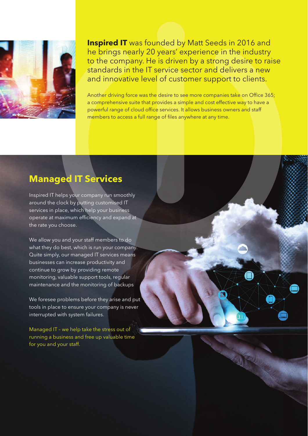

**Inspired IT** was founded by Matt Seeds in 2016 and he brings nearly 20 years' experience in the industry to the company. He is driven by a strong desire to raise standards in the IT service sector and delivers a new and innovative level of customer support to clients.

Another driving force was the desire to see more companies take on Office 365; a comprehensive suite that provides a simple and cost effective way to have a powerful range of cloud office services. It allows business owners and staff members to access a full range of files anywhere at any time.

### **Managed IT Services**

Inspired IT helps your company run smoothly around the clock by putting customised IT services in place, which help your business operate at maximum efficiency and expand at the rate you choose.

We allow you and your staff members to do what they do best, which is run your company. Quite simply, our managed IT services means businesses can increase productivity and continue to grow by providing remote monitoring, valuable support tools, regular maintenance and the monitoring of backups

We foresee problems before they arise and put tools in place to ensure your company is never interrupted with system failures.

Managed IT – we help take the stress out of running a business and free up valuable time for you and your staff.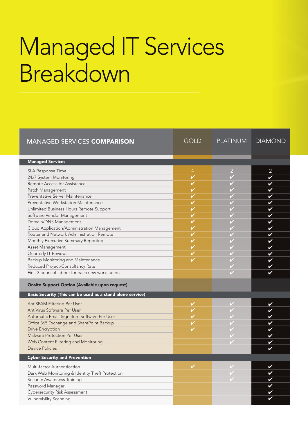# Managed IT Services Breakdown

| <b>MANAGED SERVICES COMPARISON</b>                         | <b>GOLD</b>              | <b>PLATINUM</b> | <b>DIAMOND</b>             |
|------------------------------------------------------------|--------------------------|-----------------|----------------------------|
| <b>Managed Services</b>                                    |                          |                 |                            |
| SLA Response Time                                          | $\overline{4}$           | $\overline{2}$  | $\overline{2}$             |
| 24x7 System Monitoring                                     | $\overline{\mathscr{C}}$ |                 | V                          |
| Remote Access for Assistance                               | $\checkmark$             |                 | V                          |
| Patch Management                                           | V                        |                 | V                          |
| Preventative Server Maintenance                            | V                        |                 | ✔                          |
| Preventative Workstation Maintenance                       | V                        |                 | V                          |
| Unlimited Business Hours Remote Support                    | V                        |                 | V                          |
| Software Vendor Management                                 | V                        |                 | V                          |
| Domain/DNS Management                                      | V                        |                 | V                          |
| Cloud Application/Administration Management                | V                        |                 | $\checkmark$               |
| Router and Network Administration Remote                   | V                        |                 | V                          |
| Monthly Executive Summary Reporting                        | V                        |                 | V                          |
| Asset Management                                           | V                        |                 | V                          |
| Quarterly IT Reviews                                       | V                        |                 | $\boldsymbol{\mathcal{U}}$ |
| Backup Monitoring and Maintenance                          |                          |                 | V                          |
| Reduced Project/Consultancy Rate                           |                          |                 | ✔                          |
| First 3 hours of labour for each new workstation           |                          |                 | ✓                          |
| <b>Onsite Support Option (Available upon request)</b>      |                          |                 |                            |
| Basic Security (This can be used as a stand alone service) |                          |                 |                            |
| AntiSPAM Filtering Per User                                | $\checkmark$             |                 | V                          |
| AntiVirus Software Per User                                | $\checkmark$             |                 | $\boldsymbol{\mathcal{U}}$ |
| Automatic Email Signature Software Per User                | V                        |                 | $\boldsymbol{\mathcal{U}}$ |
| Office 365 Exchange and SharePoint Backup                  | V                        |                 | V                          |
| <b>Drive Encryption</b>                                    | ✓                        |                 | ✔                          |
| Malware Protection Per User                                |                          |                 | ✔                          |
| Web Content Filtering and Monitoring                       |                          |                 | ✔                          |
| <b>Device Policies</b>                                     |                          |                 |                            |
| <b>Cyber Security and Prevention</b>                       |                          |                 |                            |
| Multi-factor Authentication                                | V                        |                 | ✔                          |
| Dark Web Monitoring & Identity Theft Protection            |                          |                 | ✔                          |
| Security Awareness Training                                |                          |                 | V                          |
| Password Manager                                           |                          |                 | V                          |
| Cybersecurity Risk Assessment                              |                          |                 | V                          |
| <b>Vulnerability Scanning</b>                              |                          |                 | ✔                          |
|                                                            |                          |                 |                            |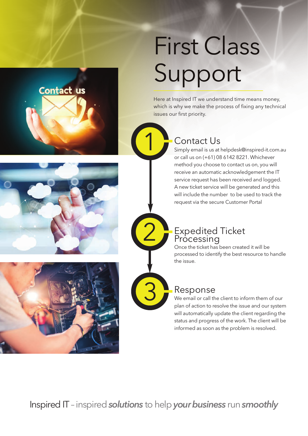



Here at Inspired IT we understand time means money, which is why we make the process of fixing any technical issues our first priority.

#### Contact Us

1

2

3

Simply email is us at helpdesk@inspired-it.com.au or call us on (+61) 08 6142 8221. Whichever method you choose to contact us on, you will receive an automatic acknowledgement the IT service request has been received and logged. A new ticket service will be generated and this will include the number to be used to track the request via the secure Customer Portal

#### Expedited Ticket Processing

Once the ticket has been created it will be processed to identify the best resource to handle the issue.



#### Response

We email or call the client to inform them of our plan of action to resolve the issue and our system will automatically update the client regarding the status and progress of the work. The client will be informed as soon as the problem is resolved.

Inspired IT– inspired *solutions* to help *your business* run *smoothly*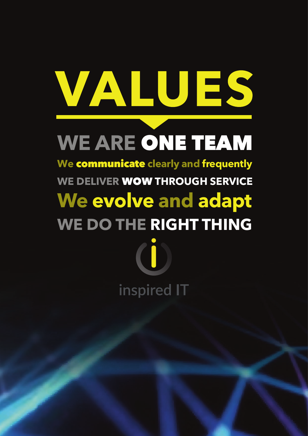# VALUES

# **WE ARE** ONE TEAM

**We** communicate **clearly and frequently WE DELIVER** WOW **THROUGH SERVICE We evolve and adapt WE DO THE RIGHT THING**

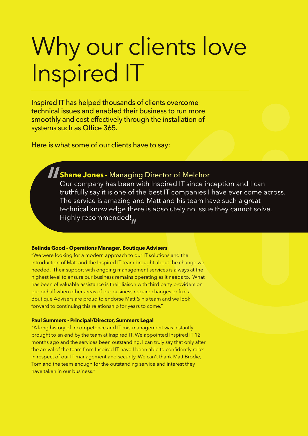# Why our clients love Inspired IT

Inspired IT has helped thousands of clients overcome technical issues and enabled their business to run more smoothly and cost effectively through the installation of systems such as Office 365.

Here is what some of our clients have to say:

## **Shane Jones** - Managing Director of Melchor

Our company has been with Inspired IT since inception and I can truthfully say it is one of the best IT companies I have ever come across. The service is amazing and Matt and his team have such a great technical knowledge there is absolutely no issue they cannot solve. Highly recommended!

#### **Belinda Good - Operations Manager, Boutique Advisers**

"We were looking for a modern approach to our IT solutions and the introduction of Matt and the Inspired IT team brought about the change we needed. Their support with ongoing management services is always at the highest level to ensure our business remains operating as it needs to. What has been of valuable assistance is their liaison with third party providers on our behalf when other areas of our business require changes or fixes. Boutique Advisers are proud to endorse Matt & his team and we look forward to continuing this relationship for years to come."

#### **Paul Summers - Principal/Director, Summers Legal**

"A long history of incompetence and IT mis-management was instantly brought to an end by the team at Inspired IT. We appointed Inspired IT 12 months ago and the services been outstanding. I can truly say that only after the arrival of the team from Inspired IT have I been able to confidently relax in respect of our IT management and security. We can't thank Matt Brodie, Tom and the team enough for the outstanding service and interest they have taken in our business."